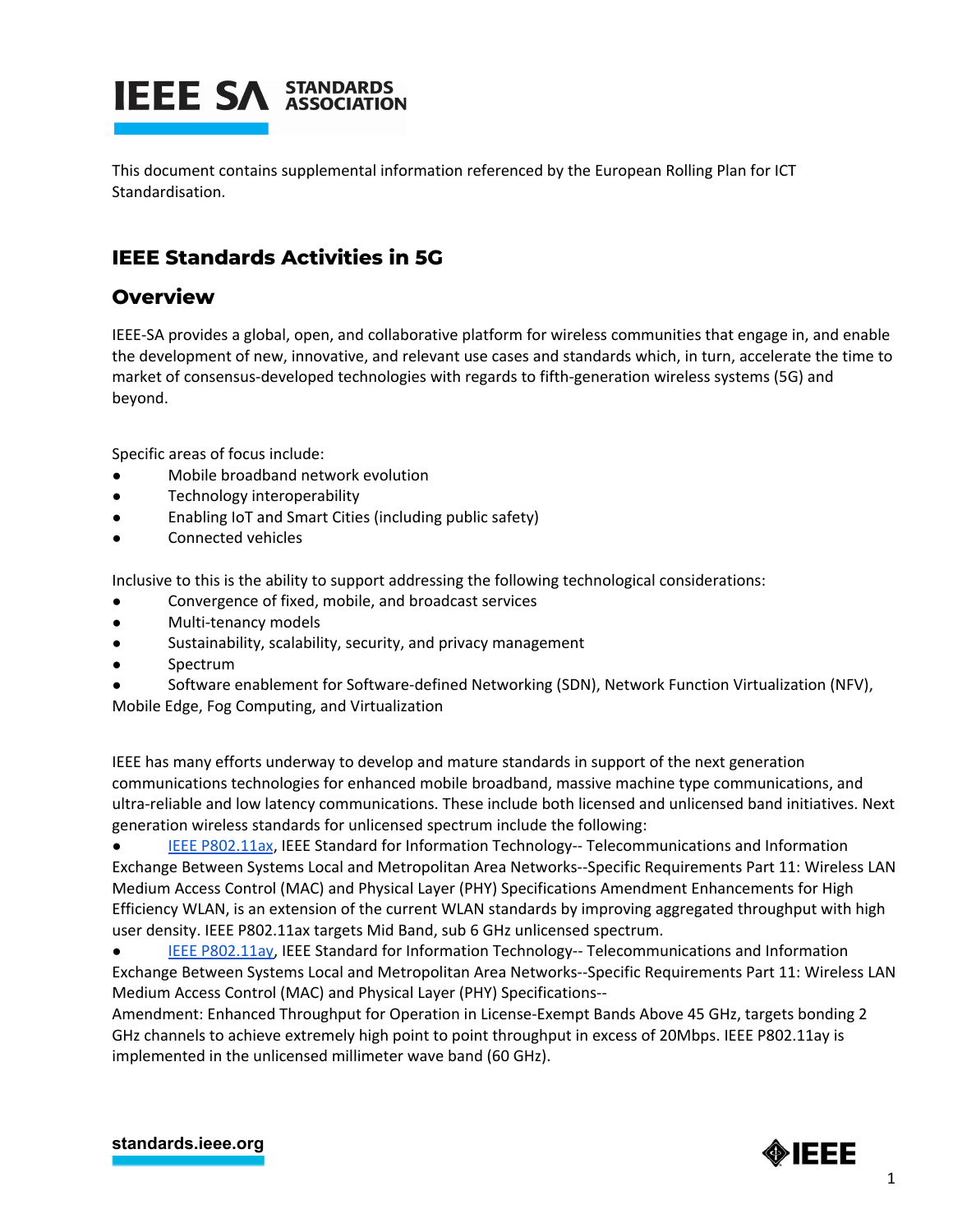

This document contains supplemental information referenced by the European Rolling Plan for ICT Standardisation.

## **IEEE Standards Activities in 5G**

### **Overview**

IEEE-SA provides a global, open, and collaborative platform for wireless communities that engage in, and enable the development of new, innovative, and relevant use cases and standards which, in turn, accelerate the time to market of consensus-developed technologies with regards to fifth-generation wireless systems (5G) and beyond.

Specific areas of focus include:

- Mobile broadband network evolution
- Technology interoperability
- Enabling IoT and Smart Cities (including public safety)
- Connected vehicles

Inclusive to this is the ability to support addressing the following technological considerations:

- Convergence of fixed, mobile, and broadcast services
- Multi-tenancy models
- Sustainability, scalability, security, and privacy management
- Spectrum
- Software enablement for Software-defined Networking (SDN), Network Function Virtualization (NFV),

Mobile Edge, Fog Computing, and Virtualization

IEEE has many efforts underway to develop and mature standards in support of the next generation communications technologies for enhanced mobile broadband, massive machine type communications, and ultra-reliable and low latency communications. These include both licensed and unlicensed band initiatives. Next generation wireless standards for unlicensed spectrum include the following:

IEEE [P802.11ax,](http://standards.ieee.org/develop/project/802.11ax.html) IEEE Standard for Information Technology-- Telecommunications and Information Exchange Between Systems Local and Metropolitan Area Networks--Specific Requirements Part 11: Wireless LAN Medium Access Control (MAC) and Physical Layer (PHY) Specifications Amendment Enhancements for High Efficiency WLAN, is an extension of the current WLAN standards by improving aggregated throughput with high user density. IEEE P802.11ax targets Mid Band, sub 6 GHz unlicensed spectrum.

● IEEE [P802.11ay,](http://standards.ieee.org/develop/project/802.11ay.html) IEEE Standard for Information Technology-- Telecommunications and Information Exchange Between Systems Local and Metropolitan Area Networks--Specific Requirements Part 11: Wireless LAN Medium Access Control (MAC) and Physical Layer (PHY) Specifications--

Amendment: Enhanced Throughput for Operation in License-Exempt Bands Above 45 GHz, targets bonding 2 GHz channels to achieve extremely high point to point throughput in excess of 20Mbps. IEEE P802.11ay is implemented in the unlicensed millimeter wave band (60 GHz).

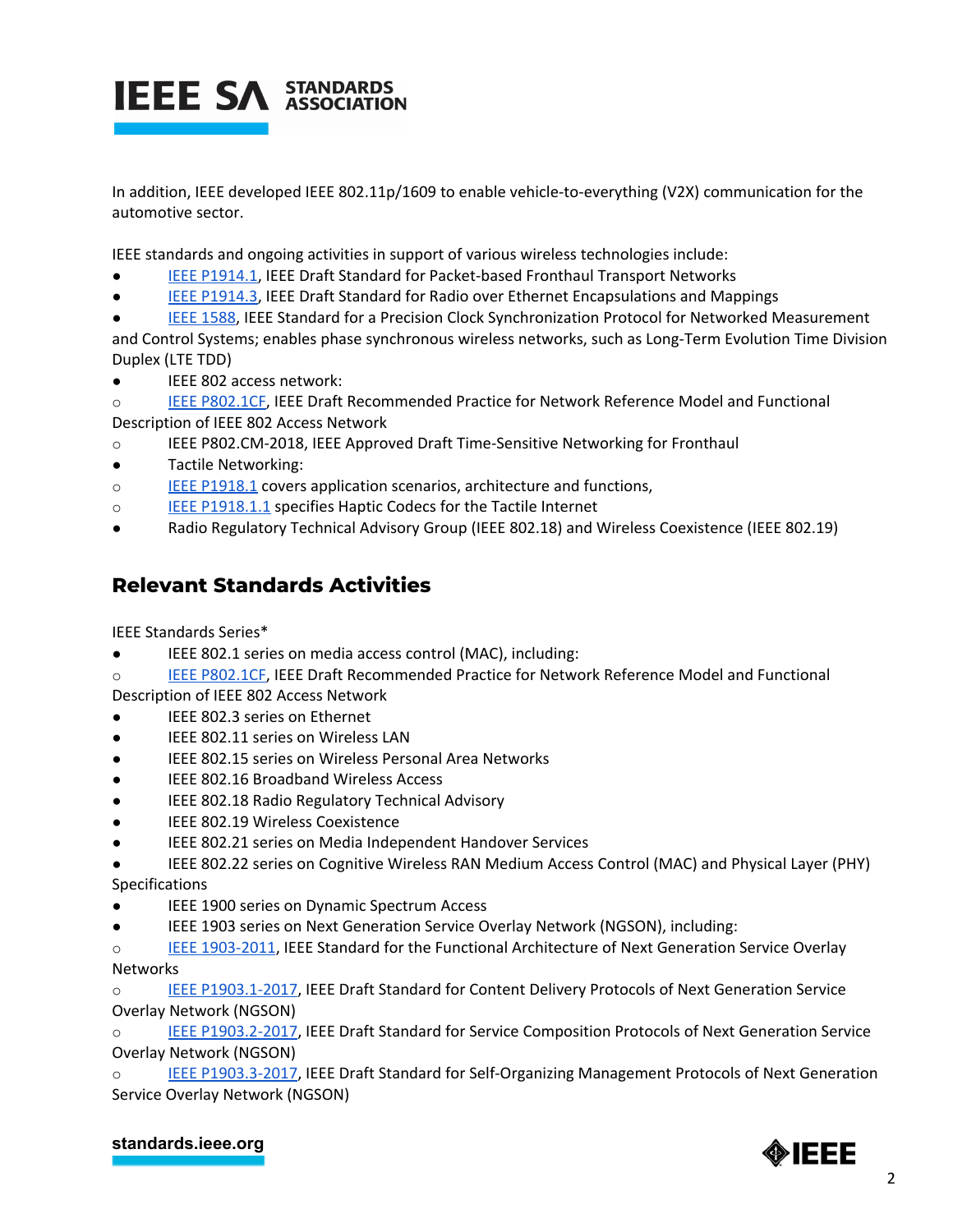

In addition, IEEE developed IEEE 802.11p/1609 to enable vehicle-to-everything (V2X) communication for the automotive sector.

IEEE standards and ongoing activities in support of various wireless technologies include:

- IEEE [P1914.1,](http://standards.ieee.org/develop/project/1914.1.html) IEEE Draft Standard for Packet-based Fronthaul Transport Networks
- IEEE [P1914.3,](http://standards.ieee.org/develop/project/1914.3.html) IEEE Draft Standard for Radio over Ethernet Encapsulations and Mappings
- IEEE [1588,](http://standards.ieee.org/develop/project/1588.html) IEEE Standard for a Precision Clock Synchronization Protocol for Networked Measurement and Control Systems; enables phase synchronous wireless networks, such as Long-Term Evolution Time Division
- Duplex (LTE TDD)
- IEEE 802 access network:

o IEEE [P802.1CF](http://standards.ieee.org/develop/project/802.1CF.html), IEEE Draft Recommended Practice for Network Reference Model and Functional Description of IEEE 802 Access Network

- o IEEE P802.CM-2018, IEEE Approved Draft Time-Sensitive Networking for Fronthaul
- Tactile Networking:
- o **IEEE [P1918.1](http://standards.ieee.org/develop/project/1918.1.html)** covers application scenarios, architecture and functions,
- o IEEE [P1918.1.1](http://standards.ieee.org/develop/project/1918.1.1.html) specifies Haptic Codecs for the Tactile Internet
- Radio Regulatory Technical Advisory Group (IEEE 802.18) and Wireless Coexistence (IEEE 802.19)

### **Relevant Standards Activities**

IEEE Standards Series\*

- IEEE 802.1 series on media access control (MAC), including:
- o IEEE [P802.1CF](http://standards.ieee.org/develop/project/802.1CF.html), IEEE Draft Recommended Practice for Network Reference Model and Functional

Description of IEEE 802 Access Network

- IEEE 802.3 series on Ethernet
- IEEE 802.11 series on Wireless LAN
- IEEE 802.15 series on Wireless Personal Area Networks
- IEEE 802.16 Broadband Wireless Access
- IEEE 802.18 Radio Regulatory Technical Advisory
- IEEE 802.19 Wireless Coexistence
- IEEE 802.21 series on Media Independent Handover Services
- IEEE 802.22 series on Cognitive Wireless RAN Medium Access Control (MAC) and Physical Layer (PHY) **Specifications**
- IEEE 1900 series on Dynamic Spectrum Access
- IEEE 1903 series on Next Generation Service Overlay Network (NGSON), including:
- o IEEE [1903-2011](https://standards.ieee.org/findstds/standard/1903-2011.html), IEEE Standard for the Functional Architecture of Next Generation Service Overlay Networks

o IEEE [P1903.1-2017](http://standards.ieee.org/findstds/standard/1903.1-2017.html), IEEE Draft Standard for Content Delivery Protocols of Next Generation Service Overlay Network (NGSON)

IEEE [P1903.2-2017](http://standards.ieee.org/findstds/standard/1903.2-2017.html), IEEE Draft Standard for Service Composition Protocols of Next Generation Service Overlay Network (NGSON)

o **IEEE [P1903.3-2017](http://standards.ieee.org/findstds/standard/1903.3-2017.html), IEEE Draft Standard for Self-Organizing Management Protocols of Next Generation** Service Overlay Network (NGSON)

#### **[standards.ieee.org](http://standards.ieee.org/)**

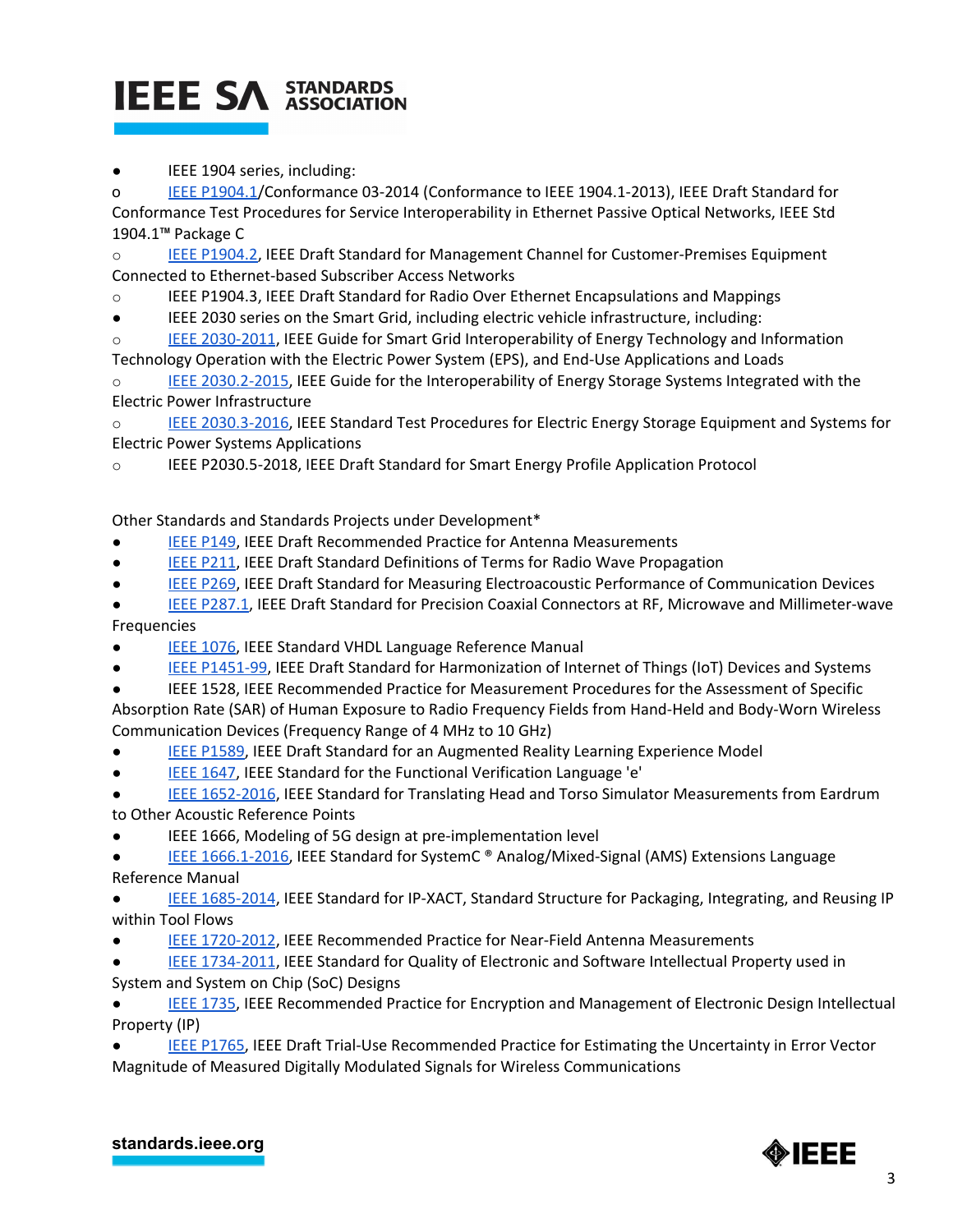# **IEEE SA STANDARDS**

IEEE 1904 series, including:

o IEEE [P1904.1/](http://standards.ieee.org/findstds/standard/1904.1-Conformance03-2014.html)Conformance 03-2014 (Conformance to IEEE 1904.1-2013), IEEE Draft Standard for Conformance Test Procedures for Service Interoperability in Ethernet Passive Optical Networks, IEEE Std 1904.1™ Package C

o IEEE [P1904.2,](http://standards.ieee.org/develop/project/1904.2.html) IEEE Draft Standard for Management Channel for Customer-Premises Equipment Connected to Ethernet-based Subscriber Access Networks

o IEEE P1904.3, IEEE Draft Standard for Radio Over Ethernet Encapsulations and Mappings

● IEEE 2030 series on the Smart Grid, including electric vehicle infrastructure, including:

o **IEEE [2030-2011](http://standards.ieee.org/findstds/standard/2030-2011.html), IEEE Guide for Smart Grid Interoperability of Energy Technology and Information** Technology Operation with the Electric Power System (EPS), and End-Use Applications and Loads

IEEE [2030.2-2015,](http://standards.ieee.org/findstds/standard/2030.2-2015.html) IEEE Guide for the Interoperability of Energy Storage Systems Integrated with the Electric Power Infrastructure

o IEEE [2030.3-2016,](http://standards.ieee.org/findstds/standard/2030.3-2016.html) IEEE Standard Test Procedures for Electric Energy Storage Equipment and Systems for Electric Power Systems Applications

o IEEE P2030.5-2018, IEEE Draft Standard for Smart Energy Profile Application Protocol

Other Standards and Standards Projects under Development\*

- **IEEE [P149,](http://standards.ieee.org/develop/project/149.html) IEEE Draft Recommended Practice for Antenna Measurements**
- **EIFE [P211,](http://standards.ieee.org/develop/project/211.html) IEEE Draft Standard Definitions of Terms for Radio Wave Propagation**
- IEEE [P269,](http://standards.ieee.org/develop/project/269.html) IEEE Draft Standard for Measuring Electroacoustic Performance of Communication Devices

IEEE [P287.1](http://standards.ieee.org/develop/project/287.1.html), IEEE Draft Standard for Precision Coaxial Connectors at RF, Microwave and Millimeter-wave Frequencies

- IEEE [1076,](http://standards.ieee.org/develop/project/1076.html) IEEE Standard VHDL Language Reference Manual
- IEEE [P1451-99,](http://standards.ieee.org/develop/project/1451-99.html) IEEE Draft Standard for Harmonization of Internet of Things (IoT) Devices and Systems
- IEEE 1528, IEEE Recommended Practice for Measurement Procedures for the Assessment of Specific Absorption Rate (SAR) of Human Exposure to Radio Frequency Fields from Hand-Held and Body-Worn Wireless Communication Devices (Frequency Range of 4 MHz to 10 GHz)
- IEEE [P1589,](http://standards.ieee.org/develop/project/1589.html) IEEE Draft Standard for an Augmented Reality Learning Experience Model
- IEEE [1647,](http://standards.ieee.org/develop/project/1647.html) IEEE Standard for the Functional Verification Language 'e'
- IEEE [1652-2016](http://standards.ieee.org/findstds/standard/1652-2016.html), IEEE Standard for Translating Head and Torso Simulator Measurements from Eardrum to Other Acoustic Reference Points
- IEEE 1666, Modeling of 5G design at pre-implementation level
- IEEE [1666.1-2016,](http://standards.ieee.org/findstds/standard/1666.1-2016.html) IEEE Standard for SystemC ® Analog/Mixed-Signal (AMS) Extensions Language Reference Manual
- IEEE [1685-2014](http://standards.ieee.org/findstds/standard/1685-2014.html), IEEE Standard for IP-XACT, Standard Structure for Packaging, Integrating, and Reusing IP within Tool Flows
- IEEE [1720-2012](http://standards.ieee.org/findstds/standard/1720-2012.html), IEEE Recommended Practice for Near-Field Antenna Measurements

● IEEE [1734-2011](http://standards.ieee.org/findstds/standard/1734-2011.html), IEEE Standard for Quality of Electronic and Software Intellectual Property used in System and System on Chip (SoC) Designs

IEEE [1735,](http://standards.ieee.org/develop/project/1735.html) IEEE Recommended Practice for Encryption and Management of Electronic Design Intellectual Property (IP)

IEEE [P1765,](http://standards.ieee.org/develop/project/1765.html) IEEE Draft Trial-Use Recommended Practice for Estimating the Uncertainty in Error Vector Magnitude of Measured Digitally Modulated Signals for Wireless Communications

**[standards.ieee.org](http://standards.ieee.org/)**

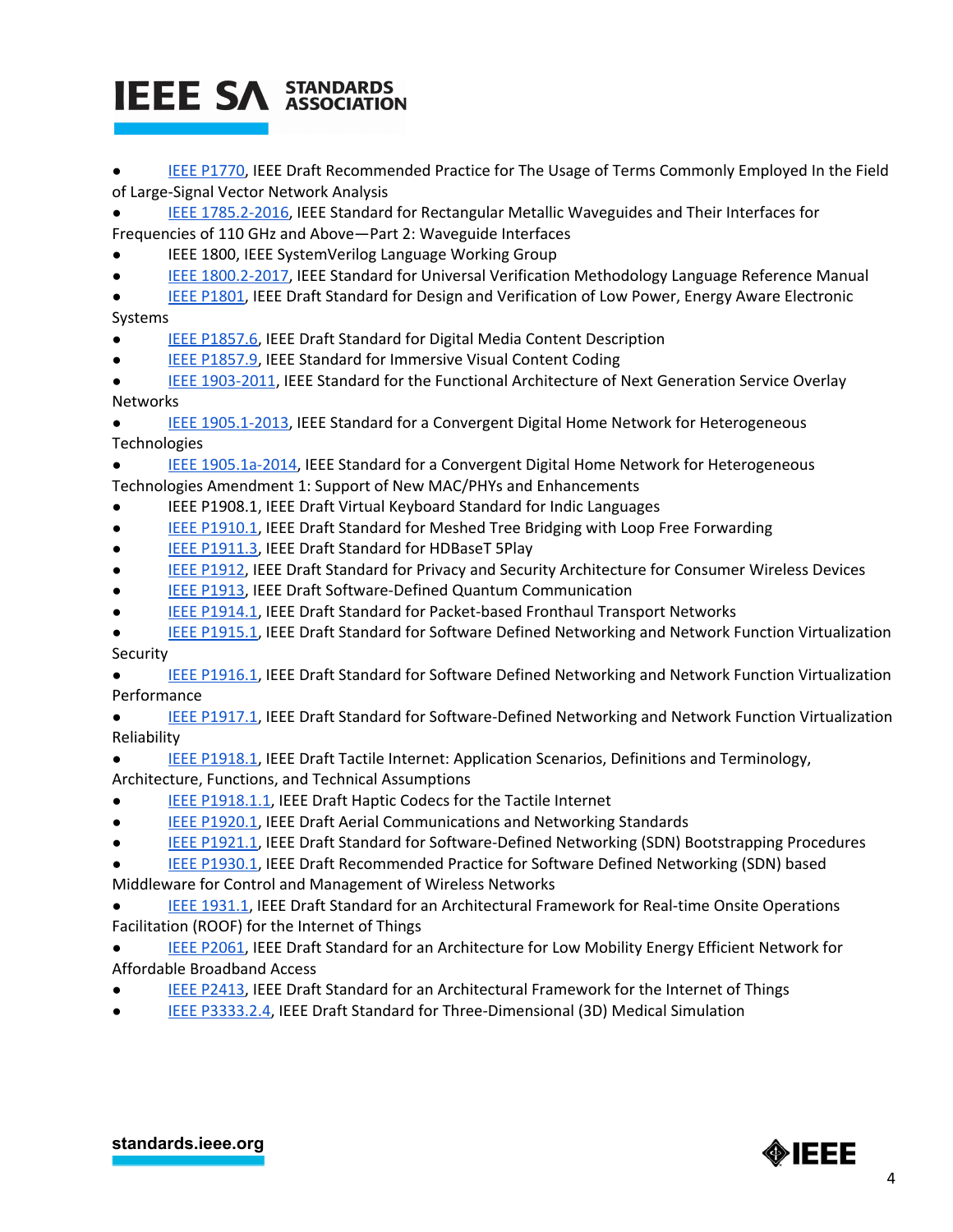# **IEEE SA STANDARDS**

- IEEE [P1770,](http://standards.ieee.org/develop/project/1770.html) IEEE Draft Recommended Practice for The Usage of Terms Commonly Employed In the Field of Large-Signal Vector Network Analysis
- IEEE [1785.2-2016,](http://standards.ieee.org/findstds/standard/1785.2-2016.html) IEEE Standard for Rectangular Metallic Waveguides and Their Interfaces for Frequencies of 110 GHz and Above—Part 2: Waveguide Interfaces
- IEEE 1800, IEEE SystemVerilog Language Working Group
- IEEE [1800.2-2017,](http://standards.ieee.org/findstds/standard/1800.2-2017.html) IEEE Standard for Universal Verification Methodology Language Reference Manual
- IEEE [P1801,](http://standards.ieee.org/develop/project/1801.html) IEEE Draft Standard for Design and Verification of Low Power, Energy Aware Electronic Systems
- IEEE [P1857.6,](http://standards.ieee.org/develop/project/1857.6.html) IEEE Draft Standard for Digital Media Content Description
- IEEE [P1857.9,](http://standards.ieee.org/develop/project/1857.9.html) IEEE Standard for Immersive Visual Content Coding
- IEEE [1903-2011](http://standards.ieee.org/findstds/standard/1903-2011.html), IEEE Standard for the Functional Architecture of Next Generation Service Overlay Networks
- IEEE [1905.1-2013,](http://standards.ieee.org/findstds/standard/1905.1-2013.html) IEEE Standard for a Convergent Digital Home Network for Heterogeneous **Technologies**
- IEEE [1905.1a-2014,](http://standards.ieee.org/findstds/standard/1905.1a-2014.html) IEEE Standard for a Convergent Digital Home Network for Heterogeneous Technologies Amendment 1: Support of New MAC/PHYs and Enhancements
- IEEE P1908.1, IEEE Draft Virtual Keyboard Standard for Indic Languages
- IEEE [P1910.1,](http://standards.ieee.org/develop/project/1910.1.html) IEEE Draft Standard for Meshed Tree Bridging with Loop Free Forwarding
- IEEE [P1911.3,](http://standards.ieee.org/develop/project/1911.3.html) IEEE Draft Standard for HDBaseT 5Play
- IEEE [P1912,](http://standards.ieee.org/develop/project/1912.html) IEEE Draft Standard for Privacy and Security Architecture for Consumer Wireless Devices
- **IEEE [P1913,](http://standards.ieee.org/develop/project/1913.html) IEEE Draft Software-Defined Quantum Communication**
- IEEE [P1914.1,](http://standards.ieee.org/develop/project/1914.1.html) IEEE Draft Standard for Packet-based Fronthaul Transport Networks
- **IEEE [P1915.1,](http://standards.ieee.org/develop/project/1915.1.html) IEEE Draft Standard for Software Defined Networking and Network Function Virtualization** Security
- IEEE [P1916.1,](http://standards.ieee.org/develop/project/1916.1.html) IEEE Draft Standard for Software Defined Networking and Network Function Virtualization Performance
- IEEE [P1917.1,](http://standards.ieee.org/develop/project/1917.1.html) IEEE Draft Standard for Software-Defined Networking and Network Function Virtualization Reliability
- **IEEE [P1918.1,](http://standards.ieee.org/develop/project/1918.1.html) IEEE Draft Tactile Internet: Application Scenarios, Definitions and Terminology,**
- Architecture, Functions, and Technical Assumptions
- **IEEE [P1918.1.1](http://standards.ieee.org/develop/project/1918.1.1.html), IEEE Draft Haptic Codecs for the Tactile Internet**
- IEEE [P1920.1,](http://standards.ieee.org/develop/project/1920.1.html) IEEE Draft Aerial Communications and Networking Standards
- IEEE [P1921.1,](http://standards.ieee.org/develop/project/1921.1.html) IEEE Draft Standard for Software-Defined Networking (SDN) Bootstrapping Procedures
- **IEEE [P1930.1,](http://standards.ieee.org/develop/project/1930.1.html) IEEE Draft Recommended Practice for Software Defined Networking (SDN) based**
- Middleware for Control and Management of Wireless Networks
- IEEE [1931.1,](http://standards.ieee.org/develop/project/1931.1.html) IEEE Draft Standard for an Architectural Framework for Real-time Onsite Operations Facilitation (ROOF) for the Internet of Things
- IEEE [P2061,](https://standards.ieee.org/project/2061.html) IEEE Draft Standard for an Architecture for Low Mobility Energy Efficient Network for Affordable Broadband Access
- **IEEE [P2413,](http://standards.ieee.org/develop/project/2413.html) IEEE Draft Standard for an Architectural Framework for the Internet of Things**
- IEEE [P3333.2.4](https://standards.ieee.org/develop/project/3333.2.4.html), IEEE Draft Standard for Three-Dimensional (3D) Medical Simulation